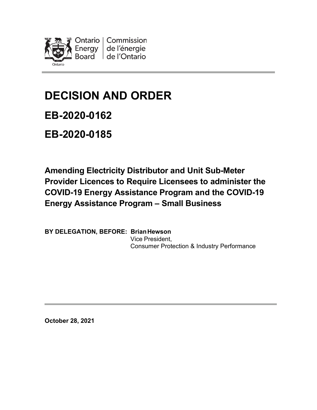

# **DECISION AND ORDER**

**EB-2020-0162** 

**EB-2020-0185**

**Amending Electricity Distributor and Unit Sub-Meter Provider Licences to Require Licensees to administer the COVID-19 Energy Assistance Program and the COVID-19 Energy Assistance Program – Small Business**

**BY DELEGATION, BEFORE: BrianHewson** Vice President, Consumer Protection & Industry Performance

**October 28, 2021**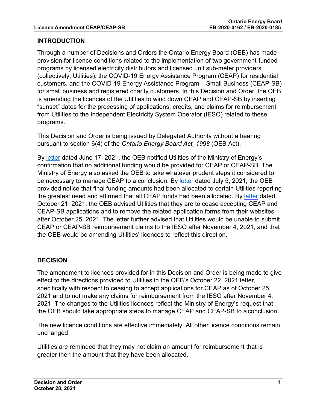# **INTRODUCTION**

Through a number of Decisions and Orders the Ontario Energy Board (OEB) has made provision for licence conditions related to the implementation of two government-funded programs by licensed electricity distributors and licensed unit sub-meter providers (collectively, Utilities): the COVID-19 Energy Assistance Program (CEAP) for residential customers, and the COVID-19 Energy Assistance Program – Small Business (CEAP-SB) for small business and registered charity customers. In this Decision and Order, the OEB is amending the licences of the Utilities to wind down CEAP and CEAP-SB by inserting "sunset" dates for the processing of applications, credits, and claims for reimbursement from Utilities to the Independent Electricity System Operator (IESO) related to these programs.

This Decision and Order is being issued by Delegated Authority without a hearing pursuant to section 6(4) of the *Ontario Energy Board Act, 1998* (OEB Act).

By [letter](https://www.oeb.ca/sites/default/files/OEB-ltr-Update-CEAP-Funding-20210617.pdf) dated June 17, 2021, the OEB notified Utilities of the Ministry of Energy's confirmation that no additional funding would be provided for CEAP or CEAP-SB. The Ministry of Energy also asked the OEB to take whatever prudent steps it considered to be necessary to manage CEAP to a conclusion. By [letter](https://www.oeb.ca/sites/default/files/OEBltr-Final-CEAP-Allocation-20210705.pdf) dated July 5, 2021, the OEB provided notice that final funding amounts had been allocated to certain Utilities reporting the greatest need and affirmed that all CEAP funds had been allocated. By [letter](https://www.oeb.ca/sites/default/files/OEBltr-CEAP-Conclusion-20211021.pdf) dated October 21, 2021, the OEB advised Utilities that they are to cease accepting CEAP and CEAP-SB applications and to remove the related application forms from their websites after October 25, 2021. The letter further advised that Utilities would be unable to submit CEAP or CEAP-SB reimbursement claims to the IESO after November 4, 2021, and that the OEB would be amending Utilities' licences to reflect this direction.

# **DECISION**

The amendment to licences provided for in this Decision and Order is being made to give effect to the directions provided to Utilities in the OEB's October 22, 2021 letter, specifically with respect to ceasing to accept applications for CEAP as of October 25, 2021 and to not make any claims for reimbursement from the IESO after November 4, 2021. The changes to the Utilities licences reflect the Ministry of Energy's request that the OEB should take appropriate steps to manage CEAP and CEAP-SB to a conclusion.

The new licence conditions are effective immediately. All other licence conditions remain unchanged.

Utilities are reminded that they may not claim an amount for reimbursement that is greater then the amount that they have been allocated.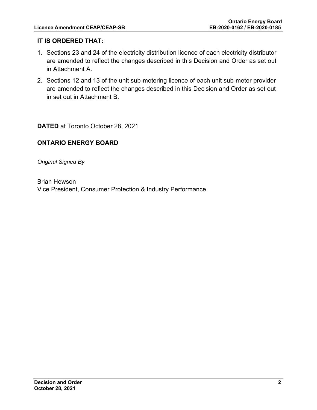# **IT IS ORDERED THAT:**

- 1. Sections 23 and 24 of the electricity distribution licence of each electricity distributor are amended to reflect the changes described in this Decision and Order as set out in Attachment A.
- 2. Sections 12 and 13 of the unit sub-metering licence of each unit sub-meter provider are amended to reflect the changes described in this Decision and Order as set out in set out in Attachment B.

**DATED** at Toronto October 28, 2021

# **ONTARIO ENERGY BOARD**

*Original Signed By*

Brian Hewson Vice President, Consumer Protection & Industry Performance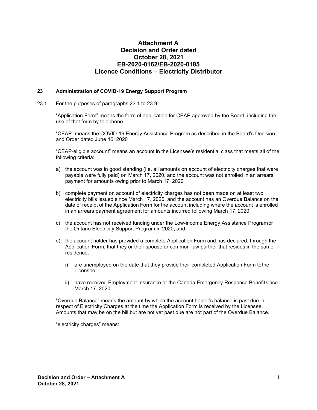### **Attachment A Decision and Order dated October 28, 2021 EB-2020-0162/EB-2020-0185 Licence Conditions – Electricity Distributor**

#### **23 Administration of COVID-19 Energy Support Program**

23.1 For the purposes of paragraphs 23.1 to 23.9:

"Application Form" means the form of application for CEAP approved by the Board, including the use of that form by telephone

"CEAP" means the COVID-19 Energy Assistance Program as described in the Board's Decision and Order dated June 16, 2020

"CEAP-eligible account" means an account in the Licensee's residential class that meets all of the following criteria:

- a) the account was in good standing (i.e. all amounts on account of electricity charges that were payable were fully paid) on March 17, 2020, and the account was not enrolled in an arrears payment for amounts owing prior to March 17, 2020
- b) complete payment on account of electricity charges has not been made on at least two electricity bills issued since March 17, 2020, and the account has an Overdue Balance on the date of receipt of the Application Form for the account including where the account is enrolled in an arrears payment agreement for amounts incurred following March 17, 2020,
- c) the account has not received funding under the Low-income Energy Assistance Programor the Ontario Electricity Support Program in 2020; and
- d) the account holder has provided a complete Application Form and has declared, through the Application Form, that they or their spouse or common-law partner that resides in the same residence:
	- i) are unemployed on the date that they provide their completed Application Form tothe Licensee
	- ii) have received Employment Insurance or the Canada Emergency Response Benefitsince March 17, 2020

"Overdue Balance" means the amount by which the account holder's balance is past due in respect of Electricity Charges at the time the Application Form is received by the Licensee. Amounts that may be on the bill but are not yet past due are not part of the Overdue Balance.

"electricity charges" means: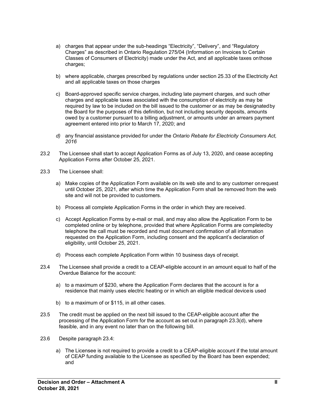- a) charges that appear under the sub-headings "Electricity", "Delivery", and "Regulatory Charges" as described in Ontario Regulation 275/04 (Information on Invoices to Certain Classes of Consumers of Electricity) made under the Act, and all applicable taxes onthose charges;
- b) where applicable, charges prescribed by regulations under section 25.33 of the Electricity Act and all applicable taxes on those charges
- c) Board-approved specific service charges, including late payment charges, and such other charges and applicable taxes associated with the consumption of electricity as may be required by law to be included on the bill issued to the customer or as may be designatedby the Board for the purposes of this definition, but not including security deposits, amounts owed by a customer pursuant to a billing adjustment, or amounts under an arrears payment agreement entered into prior to March 17, 2020; and
- *d)* any financial assistance provided for under the *Ontario Rebate for Electricity Consumers Act, 2016*
- 23.2 The Licensee shall start to accept Application Forms as of July 13, 2020, and cease accepting Application Forms after October 25, 2021.
- 23.3 The Licensee shall:
	- a) Make copies of the Application Form available on its web site and to any customer onrequest until October 25, 2021, after which time the Application Form shall be removed from the web site and will not be provided to customers.
	- b) Process all complete Application Forms in the order in which they are received.
	- c) Accept Application Forms by e-mail or mail, and may also allow the Application Form to be completed online or by telephone, provided that where Application Forms are completedby telephone the call must be recorded and must document confirmation of all information requested on the Application Form, including consent and the applicant's declaration of eligibility, until October 25, 2021.
	- d) Process each complete Application Form within 10 business days of receipt.
- 23.4 The Licensee shall provide a credit to a CEAP-eligible account in an amount equal to half of the Overdue Balance for the account:
	- a) to a maximum of \$230, where the Application Form declares that the account is for a residence that mainly uses electric heating or in which an eligible medical deviceis used
	- b) to a maximum of or \$115, in all other cases.
- 23.5 The credit must be applied on the next bill issued to the CEAP-eligible account after the processing of the Application Form for the account as set out in paragraph 23.3(d), where feasible, and in any event no later than on the following bill.
- 23.6 Despite paragraph 23.4:
	- a) The Licensee is not required to provide a credit to a CEAP-eligible account if the total amount of CEAP funding available to the Licensee as specified by the Board has been expended; and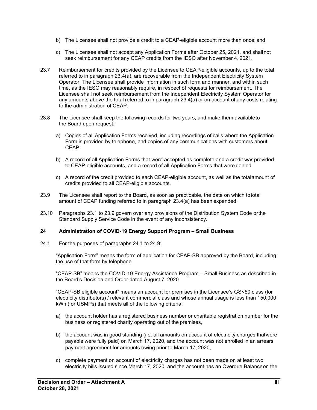- b) The Licensee shall not provide a credit to a CEAP-eligible account more than once; and
- c) The Licensee shall not accept any Application Forms after October 25, 2021, and shallnot seek reimbursement for any CEAP credits from the IESO after November 4, 2021.
- 23.7 Reimbursement for credits provided by the Licensee to CEAP-eligible accounts, up to the total referred to in paragraph 23.4(a), are recoverable from the Independent Electricity System Operator. The Licensee shall provide information in such form and manner, and within such time, as the IESO may reasonably require, in respect of requests for reimbursement. The Licensee shall not seek reimbursement from the Independent Electricity System Operator for any amounts above the total referred to in paragraph 23.4(a) or on account of any costs relating to the administration of CEAP.
- 23.8 The Licensee shall keep the following records for two years, and make them availableto the Board upon request:
	- a) Copies of all Application Forms received, including recordings of calls where the Application Form is provided by telephone, and copies of any communications with customers about CEAP.
	- b) A record of all Application Forms that were accepted as complete and a credit wasprovided to CEAP-eligible accounts, and a record of all Application Forms that were denied
	- c) A record of the credit provided to each CEAP-eligible account, as well as the totalamount of credits provided to all CEAP-eligible accounts.
- 23.9 The Licensee shall report to the Board, as soon as practicable, the date on which tototal amount of CEAP funding referred to in paragraph 23.4(a) has been expended.
- 23.10 Paragraphs 23.1 to 23.9 govern over any provisions of the Distribution System Code orthe Standard Supply Service Code in the event of any inconsistency.

#### **24 Administration of COVID-19 Energy Support Program – Small Business**

24.1 For the purposes of paragraphs 24.1 to 24.9:

"Application Form" means the form of application for CEAP-SB approved by the Board, including the use of that form by telephone

"CEAP-SB" means the COVID-19 Energy Assistance Program – Small Business as described in the Board's Decision and Order dated August 7, 2020

"CEAP-SB eligible account" means an account for premises in the Licensee's GS<50 class (for electricity distributors) / relevant commercial class and whose annual usage is less than 150,000 kWh (for USMPs) that meets all of the following criteria:

- a) the account holder has a registered business number or charitable registration number for the business or registered charity operating out of the premises,
- b) the account was in good standing (i.e. all amounts on account of electricity charges thatwere payable were fully paid) on March 17, 2020, and the account was not enrolled in an arrears payment agreement for amounts owing prior to March 17, 2020,
- c) complete payment on account of electricity charges has not been made on at least two electricity bills issued since March 17, 2020, and the account has an Overdue Balanceon the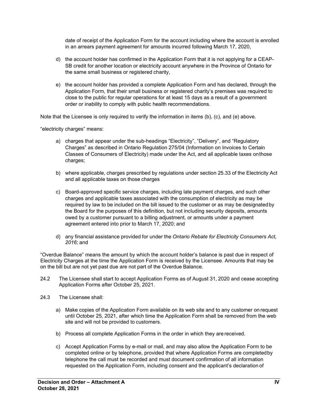date of receipt of the Application Form for the account including where the account is enrolled in an arrears payment agreement for amounts incurred following March 17, 2020,

- d) the account holder has confirmed in the Application Form that it is not applying for a CEAP-SB credit for another location or electricity account anywhere in the Province of Ontario for the same small business or registered charity,
- e) the account holder has provided a complete Application Form and has declared, through the Application Form, that their small business or registered charity's premises was required to close to the public for regular operations for at least 15 days as a result of a government order or inability to comply with public health recommendations.

Note that the Licensee is only required to verify the information in items (b), (c), and (e) above.

"electricity charges" means:

- a) charges that appear under the sub-headings "Electricity", "Delivery", and "Regulatory Charges" as described in Ontario Regulation 275/04 (Information on Invoices to Certain Classes of Consumers of Electricity) made under the Act, and all applicable taxes onthose charges;
- b) where applicable, charges prescribed by regulations under section 25.33 of the Electricity Act and all applicable taxes on those charges
- c) Board-approved specific service charges, including late payment charges, and such other charges and applicable taxes associated with the consumption of electricity as may be required by law to be included on the bill issued to the customer or as may be designatedby the Board for the purposes of this definition, but not including security deposits, amounts owed by a customer pursuant to a billing adjustment, or amounts under a payment agreement entered into prior to March 17, 2020; and
- d) any financial assistance provided for under the *Ontario Rebate for Electricity Consumers Act, 2016;* and

"Overdue Balance" means the amount by which the account holder's balance is past due in respect of Electricity Charges at the time the Application Form is received by the Licensee. Amounts that may be on the bill but are not yet past due are not part of the Overdue Balance.

- 24.2 The Licensee shall start to accept Application Forms as of August 31, 2020 and cease accepting Application Forms after October 25, 2021.
- 24.3 The Licensee shall:
	- a) Make copies of the Application Form available on its web site and to any customer on request until October 25, 2021, after which time the Application Form shall be removed from the web site and will not be provided to customers.
	- b) Process all complete Application Forms in the order in which they are received.
	- c) Accept Application Forms by e-mail or mail, and may also allow the Application Form to be completed online or by telephone, provided that where Application Forms are completedby telephone the call must be recorded and must document confirmation of all information requested on the Application Form, including consent and the applicant's declaration of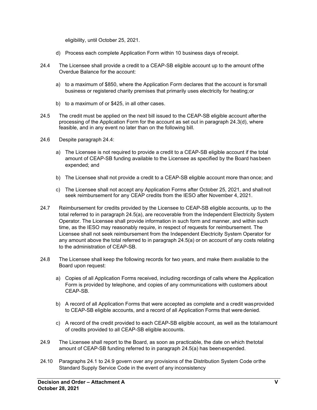eligibility, until October 25, 2021.

- d) Process each complete Application Form within 10 business days of receipt.
- 24.4 The Licensee shall provide a credit to a CEAP-SB eligible account up to the amount ofthe Overdue Balance for the account:
	- a) to a maximum of \$850, where the Application Form declares that the account is forsmall business or registered charity premises that primarily uses electricity for heating;or
	- b) to a maximum of or \$425, in all other cases.
- 24.5 The credit must be applied on the next bill issued to the CEAP-SB eligible account afterthe processing of the Application Form for the account as set out in paragraph 24.3(d), where feasible, and in any event no later than on the following bill.
- 24.6 Despite paragraph 24.4:
	- a) The Licensee is not required to provide a credit to a CEAP-SB eligible account if the total amount of CEAP-SB funding available to the Licensee as specified by the Board hasbeen expended; and
	- b) The Licensee shall not provide a credit to a CEAP-SB eligible account more than once; and
	- c) The Licensee shall not accept any Application Forms after October 25, 2021, and shallnot seek reimbursement for any CEAP credits from the IESO after November 4, 2021.
- 24.7 Reimbursement for credits provided by the Licensee to CEAP-SB eligible accounts, up to the total referred to in paragraph 24.5(a), are recoverable from the Independent Electricity System Operator. The Licensee shall provide information in such form and manner, and within such time, as the IESO may reasonably require, in respect of requests for reimbursement. The Licensee shall not seek reimbursement from the Independent Electricity System Operator for any amount above the total referred to in paragraph 24.5(a) or on account of any costs relating to the administration of CEAP-SB.
- 24.8 The Licensee shall keep the following records for two years, and make them available to the Board upon request:
	- a) Copies of all Application Forms received, including recordings of calls where the Application Form is provided by telephone, and copies of any communications with customers about CEAP-SB.
	- b) A record of all Application Forms that were accepted as complete and a credit wasprovided to CEAP-SB eligible accounts, and a record of all Application Forms that were denied.
	- c) A record of the credit provided to each CEAP-SB eligible account, as well as the totalamount of credits provided to all CEAP-SB eligible accounts.
- 24.9 The Licensee shall report to the Board, as soon as practicable, the date on which thetotal amount of CEAP-SB funding referred to in paragraph 24.5(a) has beenexpended.
- 24.10 Paragraphs 24.1 to 24.9 govern over any provisions of the Distribution System Code orthe Standard Supply Service Code in the event of any inconsistency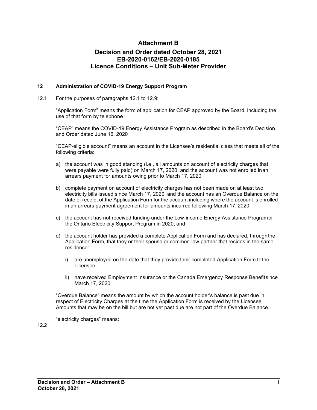## **Attachment B**

## **Decision and Order dated October 28, 2021 EB-2020-0162/EB-2020-0185 Licence Conditions – Unit Sub-Meter Provider**

#### **12 Administration of COVID-19 Energy Support Program**

12.1 For the purposes of paragraphs 12.1 to 12.9:

"Application Form" means the form of application for CEAP approved by the Board, including the use of that form by telephone

"CEAP" means the COVID-19 Energy Assistance Program as described in the Board's Decision and Order dated June 16, 2020

"CEAP-eligible account" means an account in the Licensee's residential class that meets all of the following criteria:

- a) the account was in good standing (i.e., all amounts on account of electricity charges that were payable were fully paid) on March 17, 2020, and the account was not enrolled inan arrears payment for amounts owing prior to March 17, 2020
- b) complete payment on account of electricity charges has not been made on at least two electricity bills issued since March 17, 2020, and the account has an Overdue Balance on the date of receipt of the Application Form for the account including where the account is enrolled in an arrears payment agreement for amounts incurred following March 17, 2020,
- c) the account has not received funding under the Low-income Energy Assistance Programor the Ontario Electricity Support Program in 2020; and
- d) the account holder has provided a complete Application Form and has declared, throughthe Application Form, that they or their spouse or common-law partner that resides in the same residence:
	- i) are unemployed on the date that they provide their completed Application Form tothe Licensee
	- ii) have received Employment Insurance or the Canada Emergency Response Benefitsince March 17, 2020

"Overdue Balance" means the amount by which the account holder's balance is past due in respect of Electricity Charges at the time the Application Form is received by the Licensee. Amounts that may be on the bill but are not yet past due are not part of the Overdue Balance.

"electricity charges" means:

12.2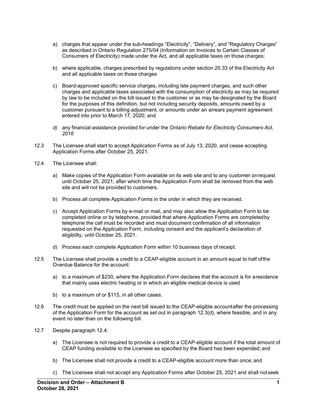- a) charges that appear under the sub-headings "Electricity", "Delivery", and "Regulatory Charges" as described in Ontario Regulation 275/04 (Information on Invoices to Certain Classes of Consumers of Electricity) made under the Act, and all applicable taxes on those charges;
- b) where applicable, charges prescribed by regulations under section 25.33 of the Electricity Act and all applicable taxes on those charges
- c) Board-approved specific service charges, including late payment charges, and such other charges and applicable taxes associated with the consumption of electricity as may be required by law to be included on the bill issued to the customer or as may be designated by the Board for the purposes of this definition, but not including security deposits, amounts owed by a customer pursuant to a billing adjustment, or amounts under an arrears payment agreement entered into prior to March 17, 2020; and
- *d)* any financial assistance provided for under the *Ontario Rebate for Electricity Consumers Act, 2016*
- 12.3 The Licensee shall start to accept Application Forms as of July 13, 2020, and cease accepting Application Forms after October 25, 2021.
- 12.4 The Licensee shall:
	- a) Make copies of the Application Form available on its web site and to any customer onrequest until October 25, 2021, after which time the Application Form shall be removed from the web site and will not be provided to customers.
	- b) Process all complete Application Forms in the order in which they are received.
	- c) Accept Application Forms by e-mail or mail, and may also allow the Application Form to be completed online or by telephone, provided that where Application Forms are completedby telephone the call must be recorded and must document confirmation of all information requested on the Application Form, including consent and the applicant's declaration of eligibility, until October 25, 2021.
	- d) Process each complete Application Form within 10 business days of receipt.
- 12.5 The Licensee shall provide a credit to a CEAP-eligible account in an amount equal to half ofthe Overdue Balance for the account:
	- a) to a maximum of \$230, where the Application Form declares that the account is for aresidence that mainly uses electric heating or in which an eligible medical device is used
	- b) to a maximum of or \$115, in all other cases.
- 12.6 The credit must be applied on the next bill issued to the CEAP-eligible accountafter the processing of the Application Form for the account as set out in paragraph 12.3(d), where feasible, and in any event no later than on the following bill.
- 12.7 Despite paragraph 12.4:
	- a) The Licensee is not required to provide a credit to a CEAP-eligible account if the total amount of CEAP funding available to the Licensee as specified by the Board has been expended; and
	- b) The Licensee shall not provide a credit to a CEAP-eligible account more than once; and
	- c) The Licensee shall not accept any Application Forms after October 25, 2021 and shall not seek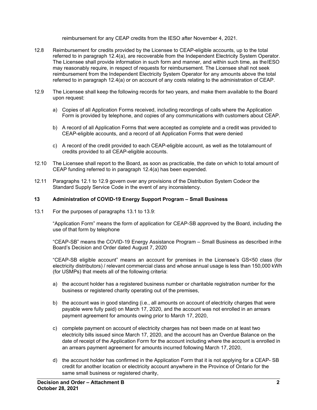reimbursement for any CEAP credits from the IESO after November 4, 2021.

- 12.8 Reimbursement for credits provided by the Licensee to CEAP-eligible accounts, up to the total referred to in paragraph 12.4(a), are recoverable from the Independent Electricity System Operator. The Licensee shall provide information in such form and manner, and within such time, as theIESO may reasonably require, in respect of requests for reimbursement. The Licensee shall not seek reimbursement from the Independent Electricity System Operator for any amounts above the total referred to in paragraph 12.4(a) or on account of any costs relating to the administration of CEAP.
- 12.9 The Licensee shall keep the following records for two years, and make them available to the Board upon request:
	- a) Copies of all Application Forms received, including recordings of calls where the Application Form is provided by telephone, and copies of any communications with customers about CEAP.
	- b) A record of all Application Forms that were accepted as complete and a credit was provided to CEAP-eligible accounts, and a record of all Application Forms that were denied
	- c) A record of the credit provided to each CEAP-eligible account, as well as the totalamount of credits provided to all CEAP-eligible accounts.
- 12.10 The Licensee shall report to the Board, as soon as practicable, the date on which to total amount of CEAP funding referred to in paragraph 12.4(a) has been expended.
- 12.11 Paragraphs 12.1 to 12.9 govern over any provisions of the Distribution System Codeor the Standard Supply Service Code in the event of any inconsistency.

#### **13 Administration of COVID-19 Energy Support Program – Small Business**

13.1 For the purposes of paragraphs 13.1 to 13.9:

"Application Form" means the form of application for CEAP-SB approved by the Board, including the use of that form by telephone

"CEAP-SB" means the COVID-19 Energy Assistance Program – Small Business as described inthe Board's Decision and Order dated August 7, 2020

"CEAP-SB eligible account" means an account for premises in the Licensee's GS<50 class (for electricity distributors) / relevant commercial class and whose annual usage is less than 150,000 kWh (for USMPs) that meets all of the following criteria:

- a) the account holder has a registered business number or charitable registration number for the business or registered charity operating out of the premises,
- b) the account was in good standing (i.e., all amounts on account of electricity charges that were payable were fully paid) on March 17, 2020, and the account was not enrolled in an arrears payment agreement for amounts owing prior to March 17, 2020,
- c) complete payment on account of electricity charges has not been made on at least two electricity bills issued since March 17, 2020, and the account has an Overdue Balance on the date of receipt of the Application Form for the account including where the account is enrolled in an arrears payment agreement for amounts incurred following March 17, 2020,
- d) the account holder has confirmed in the Application Form that it is not applying for a CEAP- SB credit for another location or electricity account anywhere in the Province of Ontario for the same small business or registered charity,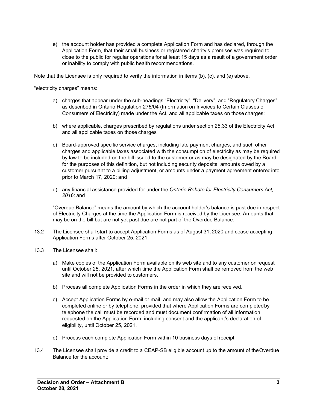e) the account holder has provided a complete Application Form and has declared, through the Application Form, that their small business or registered charity's premises was required to close to the public for regular operations for at least 15 days as a result of a government order or inability to comply with public health recommendations.

Note that the Licensee is only required to verify the information in items (b), (c), and (e) above.

"electricity charges" means:

- a) charges that appear under the sub-headings "Electricity", "Delivery", and "Regulatory Charges" as described in Ontario Regulation 275/04 (Information on Invoices to Certain Classes of Consumers of Electricity) made under the Act, and all applicable taxes on those charges;
- b) where applicable, charges prescribed by regulations under section 25.33 of the Electricity Act and all applicable taxes on those charges
- c) Board-approved specific service charges, including late payment charges, and such other charges and applicable taxes associated with the consumption of electricity as may be required by law to be included on the bill issued to the customer or as may be designated by the Board for the purposes of this definition, but not including security deposits, amounts owed by a customer pursuant to a billing adjustment, or amounts under a payment agreement enteredinto prior to March 17, 2020; and
- d) any financial assistance provided for under the *Ontario Rebate for Electricity Consumers Act, 2016;* and

"Overdue Balance" means the amount by which the account holder's balance is past due in respect of Electricity Charges at the time the Application Form is received by the Licensee. Amounts that may be on the bill but are not yet past due are not part of the Overdue Balance.

- 13.2 The Licensee shall start to accept Application Forms as of August 31, 2020 and cease accepting Application Forms after October 25, 2021.
- 13.3 The Licensee shall:
	- a) Make copies of the Application Form available on its web site and to any customer on request until October 25, 2021, after which time the Application Form shall be removed from the web site and will not be provided to customers.
	- b) Process all complete Application Forms in the order in which they are received.
	- c) Accept Application Forms by e-mail or mail, and may also allow the Application Form to be completed online or by telephone, provided that where Application Forms are completedby telephone the call must be recorded and must document confirmation of all information requested on the Application Form, including consent and the applicant's declaration of eligibility, until October 25, 2021.
	- d) Process each complete Application Form within 10 business days of receipt.
- 13.4 The Licensee shall provide a credit to a CEAP-SB eligible account up to the amount of theOverdue Balance for the account: